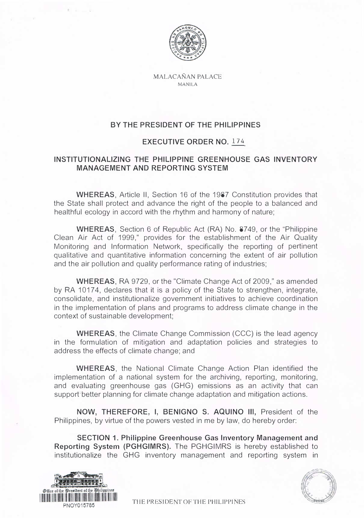

MALACANAN PALACE MANILA

## **BY THE PRESIDENT OF THE PHILIPPINES**

## **EXECUTIVE ORDER NO. 174**

## **INSTITUTIONALIZING THE PHILIPPINE GREENHOUSE GAS INVENTORY MANAGEMENT AND REPORTING SYSTEM**

**WHEREAS,** Article II, Section 16 of the 1987 Constitution provides that the State shall protect and advance the right of the people to a balanced and healthful ecology in accord with the rhythm and harmony of nature;

**WHEREAS,** Section 6 of Republic Act (RA) No. 8749, or the "Philippine Clean Air Act of 1999," provides for the establishment of the Air Quality Monitoring and Information Network, specifically the reporting of pertinent qualitative and quantitative information concerning the extent of air pollution and the air pollution and quality performance rating of industries;

**WHEREAS,** RA 9729, or the "Climate Change Act of 2009," as amended by RA 10174, declares that it is a policy of the State to strengthen, integrate, consolidate, and institutionalize government initiatives to achieve coordination in the implementation of plans and programs to address climate change in the context of sustainable development;

**WHEREAS,** the Climate Change Commission (CCC) is the lead agency in the formulation of mitigation and adaptation policies and strategies to address the effects of climate change; and

**WHEREAS,** the National Climate Change Action Plan identified the implementation of a national system for the archiving, reporting, monitoring, and evaluating greenhouse gas (GHG) emissions as an activity that can support'better planning for climate change adaptation and mitigation actions.

**NOW, THEREFORE, I, BENIGNO S. AQUINO Ill,** President of the Philippines, by virtue of the powers vested in me by law, do hereby order:

**SECTION 1. Philippine Greenhouse Gas Inventory Management and Reporting System (PGHGIMRS).** The PGHGIMRS is hereby established to institutionalize the GHG inventory management and reporting system in



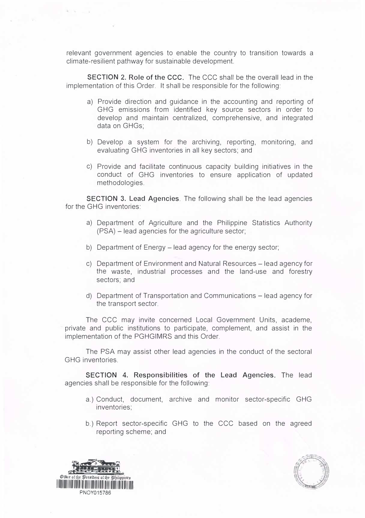relevant government agencies to enable the country to transition towards a climate-resilient pathway for sustainable development.

**SECTION 2. Role of the CCC.** The CCC shall be the overall lead in the implementation of this Order. It shall be responsible for the following:

- a) Provide direction and guidance in the accounting and reporting of GHG emissions from identified key source sectors in order to develop and maintain centralized, comprehensive, and integrated data on GHGs;
- b) Develop a system for the archiving, reporting, monitoring, and evaluating GHG inventories in all key sectors; and
- c) Provide and facilitate continuous capacity building initiatives in the conduct of GHG inventories to ensure application of updated methodologies.

**SECTION 3. Lead Agencies.** The following shall be the lead agencies for the GHG inventories:

- a) Department of Agriculture and the Philippine Statistics Authority (PSA) - lead agencies for the agriculture sector;
- b) Department of Energy lead agency for the energy sector;
- c) Department of Environment and Natural Resources lead agency for the waste, industrial processes and the land-use and forestry sectors; and
- d) Department of Transportation and Communications lead agency for the transport sector.

The CCC may invite concerned Local Government Units, academe, private and public institutions to participate, complement, and assist in the implementation of the PGHGIMRS and this Order.

The PSA may assist other lead agencies in the conduct of the sectoral GHG inventories.

**SECTION 4. Responsibilities of the Lead Agencies.** The lead agencies shall be responsible for the following:

- a.) Conduct, document, archive and monitor sector-specific GHG inventories;
- b.) Report sector-specific GHG to the CCC based on the agreed reporting scheme; and